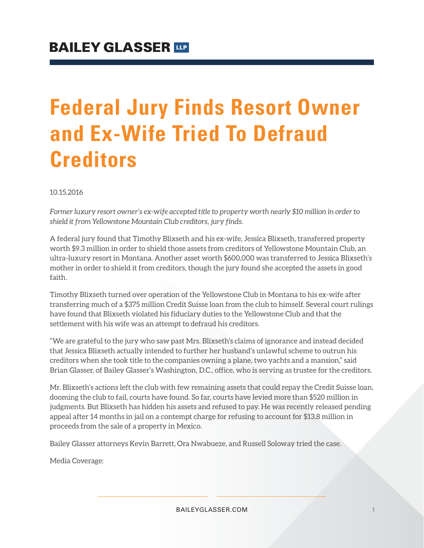# **Federal Jury Finds Resort Owner and Ex-Wife Tried To Defraud Creditors**

10.15.2016

*Former luxury resort owner's ex-wife accepted title to property worth nearly \$10 million in order to shield it from Yellowstone Mountain Club creditors, jury finds.* 

A federal jury found that Timothy Blixseth and his ex-wife, Jessica Blixseth, transferred property worth \$9.3 million in order to shield those assets from creditors of Yellowstone Mountain Club, an ultra-luxury resort in Montana. Another asset worth \$600,000 was transferred to Jessica Blixseth's mother in order to shield it from creditors, though the jury found she accepted the assets in good faith.

Timothy Blixseth turned over operation of the Yellowstone Club in Montana to his ex-wife after transferring much of a \$375 million Credit Suisse loan from the club to himself. Several court rulings have found that Blixseth violated his fiduciary duties to the Yellowstone Club and that the settlement with his wife was an attempt to defraud his creditors.

"We are grateful to the jury who saw past Mrs. Blixseth's claims of ignorance and instead decided that Jessica Blixseth actually intended to further her husband's unlawful scheme to outrun his creditors when she took title to the companies owning a plane, two yachts and a mansion," said Brian Glasser, of Bailey Glasser's Washington, D.C., office, who is serving as trustee for the creditors.

Mr. Blixseth's actions left the club with few remaining assets that could repay the Credit Suisse loan, dooming the club to fail, courts have found. So far, courts have levied more than \$520 million in judgments. But Blixseth has hidden his assets and refused to pay. He was recently released pending appeal after 14 months in jail on a contempt charge for refusing to account for \$13.8 million in proceeds from the sale of a property in Mexico.

Bailey Glasser attorneys Kevin Barrett, Ora Nwabueze, and Russell Soloway tried the case.

Media Coverage: